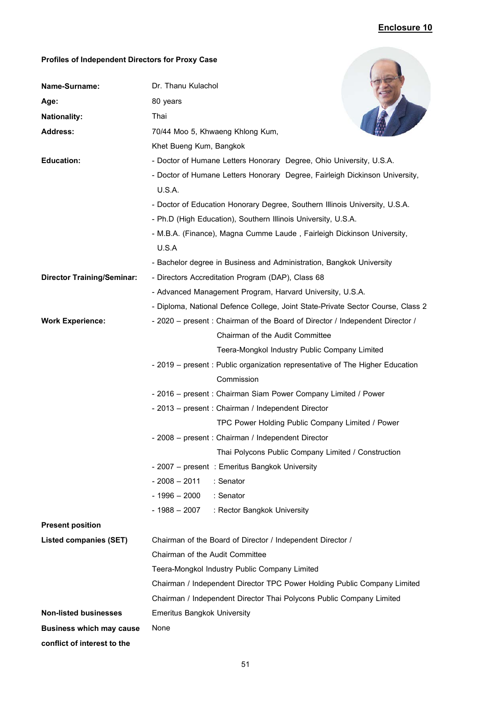## **Enclosure 10**

## **Profiles of Independent Directors for Proxy Case**

| Profiles of Independent Directors for Proxy Case |                                                                                 |
|--------------------------------------------------|---------------------------------------------------------------------------------|
| Name-Surname:                                    | Dr. Thanu Kulachol                                                              |
| Age:                                             | 80 years                                                                        |
| <b>Nationality:</b>                              | Thai                                                                            |
| <b>Address:</b>                                  | 70/44 Moo 5, Khwaeng Khlong Kum,                                                |
|                                                  | Khet Bueng Kum, Bangkok                                                         |
| <b>Education:</b>                                | - Doctor of Humane Letters Honorary Degree, Ohio University, U.S.A.             |
|                                                  | - Doctor of Humane Letters Honorary Degree, Fairleigh Dickinson University,     |
|                                                  | U.S.A.                                                                          |
|                                                  | - Doctor of Education Honorary Degree, Southern Illinois University, U.S.A.     |
|                                                  | - Ph.D (High Education), Southern Illinois University, U.S.A.                   |
|                                                  | - M.B.A. (Finance), Magna Cumme Laude, Fairleigh Dickinson University,          |
|                                                  | U.S.A                                                                           |
|                                                  | - Bachelor degree in Business and Administration, Bangkok University            |
| <b>Director Training/Seminar:</b>                | - Directors Accreditation Program (DAP), Class 68                               |
|                                                  | - Advanced Management Program, Harvard University, U.S.A.                       |
|                                                  | - Diploma, National Defence College, Joint State-Private Sector Course, Class 2 |
| <b>Work Experience:</b>                          | - 2020 - present : Chairman of the Board of Director / Independent Director /   |
|                                                  | Chairman of the Audit Committee                                                 |
|                                                  | Teera-Mongkol Industry Public Company Limited                                   |
|                                                  | - 2019 - present : Public organization representative of The Higher Education   |
|                                                  | Commission                                                                      |
|                                                  | - 2016 - present : Chairman Siam Power Company Limited / Power                  |
|                                                  | - 2013 - present : Chairman / Independent Director                              |
|                                                  | TPC Power Holding Public Company Limited / Power                                |
|                                                  | - 2008 - present : Chairman / Independent Director                              |
|                                                  | Thai Polycons Public Company Limited / Construction                             |
|                                                  | - 2007 - present : Emeritus Bangkok University                                  |
|                                                  | $-2008 - 2011$<br>: Senator                                                     |
|                                                  | $-1996 - 2000$<br>: Senator                                                     |
|                                                  | - 1988 – 2007<br>: Rector Bangkok University                                    |
| <b>Present position</b>                          |                                                                                 |
| <b>Listed companies (SET)</b>                    | Chairman of the Board of Director / Independent Director /                      |
|                                                  | Chairman of the Audit Committee                                                 |
|                                                  | Teera-Mongkol Industry Public Company Limited                                   |
|                                                  | Chairman / Independent Director TPC Power Holding Public Company Limited        |
|                                                  | Chairman / Independent Director Thai Polycons Public Company Limited            |
| <b>Non-listed businesses</b>                     | <b>Emeritus Bangkok University</b>                                              |
| <b>Business which may cause</b>                  | None                                                                            |
| conflict of interest to the                      |                                                                                 |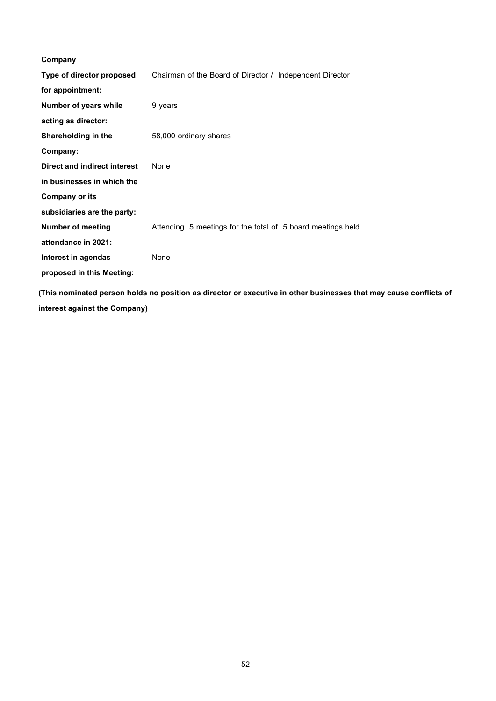| Company                      |                                                             |
|------------------------------|-------------------------------------------------------------|
| Type of director proposed    | Chairman of the Board of Director / Independent Director    |
| for appointment:             |                                                             |
| <b>Number of years while</b> | 9 years                                                     |
| acting as director:          |                                                             |
| Shareholding in the          | 58,000 ordinary shares                                      |
| Company:                     |                                                             |
| Direct and indirect interest | <b>None</b>                                                 |
| in businesses in which the   |                                                             |
| <b>Company or its</b>        |                                                             |
| subsidiaries are the party:  |                                                             |
| <b>Number of meeting</b>     | Attending 5 meetings for the total of 5 board meetings held |
| attendance in 2021:          |                                                             |
| Interest in agendas          | <b>None</b>                                                 |
| proposed in this Meeting:    |                                                             |
|                              |                                                             |

**(This nominated person holds no position as director or executive in other businesses that may cause conflicts of interest against the Company)**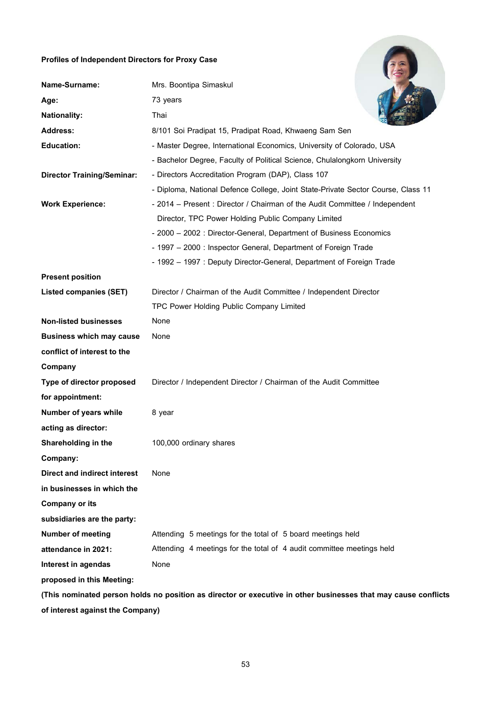## **Profiles of Independent Directors for Proxy Case**

| Profiles of Independent Directors for Proxy Case                                                               |                                                                                  |  |
|----------------------------------------------------------------------------------------------------------------|----------------------------------------------------------------------------------|--|
| Name-Surname:                                                                                                  | Mrs. Boontipa Simaskul                                                           |  |
| Age:                                                                                                           | 73 years                                                                         |  |
| <b>Nationality:</b>                                                                                            | Thai                                                                             |  |
| <b>Address:</b>                                                                                                | 8/101 Soi Pradipat 15, Pradipat Road, Khwaeng Sam Sen                            |  |
| <b>Education:</b>                                                                                              | - Master Degree, International Economics, University of Colorado, USA            |  |
|                                                                                                                | - Bachelor Degree, Faculty of Political Science, Chulalongkorn University        |  |
| <b>Director Training/Seminar:</b>                                                                              | - Directors Accreditation Program (DAP), Class 107                               |  |
|                                                                                                                | - Diploma, National Defence College, Joint State-Private Sector Course, Class 11 |  |
| <b>Work Experience:</b>                                                                                        | - 2014 – Present: Director / Chairman of the Audit Committee / Independent       |  |
|                                                                                                                | Director, TPC Power Holding Public Company Limited                               |  |
|                                                                                                                | - 2000 – 2002 : Director-General, Department of Business Economics               |  |
|                                                                                                                | - 1997 - 2000 : Inspector General, Department of Foreign Trade                   |  |
|                                                                                                                | - 1992 - 1997 : Deputy Director-General, Department of Foreign Trade             |  |
| <b>Present position</b>                                                                                        |                                                                                  |  |
| <b>Listed companies (SET)</b>                                                                                  | Director / Chairman of the Audit Committee / Independent Director                |  |
|                                                                                                                | TPC Power Holding Public Company Limited                                         |  |
| <b>Non-listed businesses</b>                                                                                   | None                                                                             |  |
| <b>Business which may cause</b>                                                                                | None                                                                             |  |
| conflict of interest to the                                                                                    |                                                                                  |  |
| Company                                                                                                        |                                                                                  |  |
| Type of director proposed                                                                                      | Director / Independent Director / Chairman of the Audit Committee                |  |
| for appointment:                                                                                               |                                                                                  |  |
| Number of years while                                                                                          | 8 year                                                                           |  |
| acting as director:                                                                                            |                                                                                  |  |
| Shareholding in the                                                                                            | 100,000 ordinary shares                                                          |  |
| Company:                                                                                                       |                                                                                  |  |
| <b>Direct and indirect interest</b>                                                                            | None                                                                             |  |
| in businesses in which the                                                                                     |                                                                                  |  |
| <b>Company or its</b>                                                                                          |                                                                                  |  |
| subsidiaries are the party:                                                                                    |                                                                                  |  |
| <b>Number of meeting</b>                                                                                       | Attending 5 meetings for the total of 5 board meetings held                      |  |
| attendance in 2021:                                                                                            | Attending 4 meetings for the total of 4 audit committee meetings held            |  |
| Interest in agendas                                                                                            | None                                                                             |  |
| proposed in this Meeting:                                                                                      |                                                                                  |  |
| (This nominated person holds no position as director or executive in other businesses that may cause conflicts |                                                                                  |  |

**of interest against the Company)**